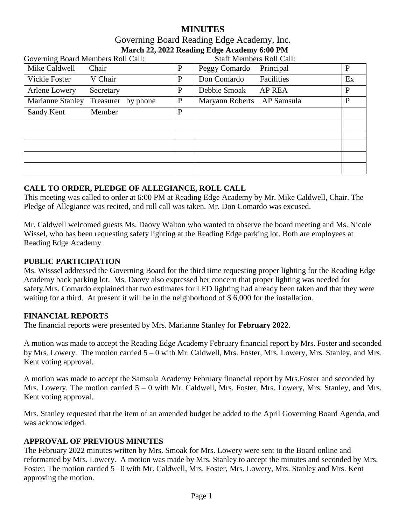# **MINUTES** Governing Board Reading Edge Academy, Inc. **March 22, 2022 Reading Edge Academy 6:00 PM**

| Governing Board Members Roll Call:     |              | <b>Staff Members Roll Call:</b> |              |
|----------------------------------------|--------------|---------------------------------|--------------|
| Mike Caldwell<br>Chair                 | P            | Principal<br>Peggy Comardo      | P            |
| Vickie Foster<br>V Chair               | P            | Don Comardo<br>Facilities       | Ex           |
| Arlene Lowery<br>Secretary             | $\mathbf{P}$ | Debbie Smoak<br><b>AP REA</b>   | $\mathbf{P}$ |
| Marianne Stanley<br>Treasurer by phone | P            | Maryann Roberts AP Samsula      | P            |
| Sandy Kent<br>Member                   | $\mathbf{P}$ |                                 |              |
|                                        |              |                                 |              |
|                                        |              |                                 |              |
|                                        |              |                                 |              |
|                                        |              |                                 |              |
|                                        |              |                                 |              |

## **CALL TO ORDER, PLEDGE OF ALLEGIANCE, ROLL CALL**

This meeting was called to order at 6:00 PM at Reading Edge Academy by Mr. Mike Caldwell, Chair. The Pledge of Allegiance was recited, and roll call was taken. Mr. Don Comardo was excused.

Mr. Caldwell welcomed guests Ms. Daovy Walton who wanted to observe the board meeting and Ms. Nicole Wissel, who has been requesting safety lighting at the Reading Edge parking lot. Both are employees at Reading Edge Academy.

### **PUBLIC PARTICIPATION**

Ms. Wisssel addressed the Governing Board for the third time requesting proper lighting for the Reading Edge Academy back parking lot. Ms. Daovy also expressed her concern that proper lighting was needed for safety.Mrs. Comardo explained that two estimates for LED lighting had already been taken and that they were waiting for a third. At present it will be in the neighborhood of \$6,000 for the installation.

### **FINANCIAL REPORT**S

The financial reports were presented by Mrs. Marianne Stanley for **February 2022**.

A motion was made to accept the Reading Edge Academy February financial report by Mrs. Foster and seconded by Mrs. Lowery. The motion carried 5 – 0 with Mr. Caldwell, Mrs. Foster, Mrs. Lowery, Mrs. Stanley, and Mrs. Kent voting approval.

A motion was made to accept the Samsula Academy February financial report by Mrs.Foster and seconded by Mrs. Lowery. The motion carried  $5 - 0$  with Mr. Caldwell, Mrs. Foster, Mrs. Lowery, Mrs. Stanley, and Mrs. Kent voting approval.

Mrs. Stanley requested that the item of an amended budget be added to the April Governing Board Agenda, and was acknowledged.

### **APPROVAL OF PREVIOUS MINUTES**

The February 2022 minutes written by Mrs. Smoak for Mrs. Lowery were sent to the Board online and reformatted by Mrs. Lowery. A motion was made by Mrs. Stanley to accept the minutes and seconded by Mrs. Foster. The motion carried 5– 0 with Mr. Caldwell, Mrs. Foster, Mrs. Lowery, Mrs. Stanley and Mrs. Kent approving the motion.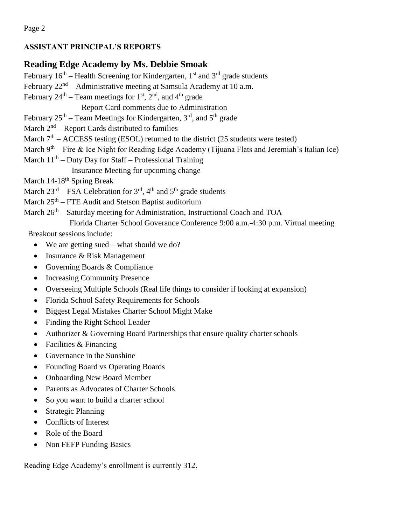Page 2

# **ASSISTANT PRINCIPAL'S REPORTS**

# **Reading Edge Academy by Ms. Debbie Smoak**

February  $16<sup>th</sup>$  – Health Screening for Kindergarten,  $1<sup>st</sup>$  and  $3<sup>rd</sup>$  grade students

February  $22<sup>nd</sup>$  – Administrative meeting at Samsula Academy at 10 a.m.

February  $24<sup>th</sup>$  – Team meetings for  $1<sup>st</sup>$ ,  $2<sup>nd</sup>$ , and  $4<sup>th</sup>$  grade

Report Card comments due to Administration

February  $25<sup>th</sup>$  – Team Meetings for Kindergarten, 3<sup>rd</sup>, and  $5<sup>th</sup>$  grade

March  $2<sup>nd</sup>$  – Report Cards distributed to families

March  $7<sup>th</sup>$  – ACCESS testing (ESOL) returned to the district (25 students were tested)

March 9<sup>th</sup> – Fire & Ice Night for Reading Edge Academy (Tijuana Flats and Jeremiah's Italian Ice)

March  $11<sup>th</sup>$  – Duty Day for Staff – Professional Training

Insurance Meeting for upcoming change

March 14-18<sup>th</sup> Spring Break

March  $23^{rd}$  – FSA Celebration for  $3^{rd}$ , 4<sup>th</sup> and 5<sup>th</sup> grade students

March  $25<sup>th</sup>$  – FTE Audit and Stetson Baptist auditorium

March 26<sup>th</sup> – Saturday meeting for Administration, Instructional Coach and TOA

Florida Charter School Goverance Conference 9:00 a.m.-4:30 p.m. Virtual meeting

Breakout sessions include:

- We are getting sued what should we do?
- Insurance & Risk Management
- Governing Boards & Compliance
- Increasing Community Presence
- Overseeing Multiple Schools (Real life things to consider if looking at expansion)
- Florida School Safety Requirements for Schools
- Biggest Legal Mistakes Charter School Might Make
- Finding the Right School Leader
- Authorizer & Governing Board Partnerships that ensure quality charter schools
- Facilities & Financing
- Governance in the Sunshine
- Founding Board vs Operating Boards
- Onboarding New Board Member
- Parents as Advocates of Charter Schools
- So you want to build a charter school
- Strategic Planning
- Conflicts of Interest
- Role of the Board
- Non FEFP Funding Basics

Reading Edge Academy's enrollment is currently 312.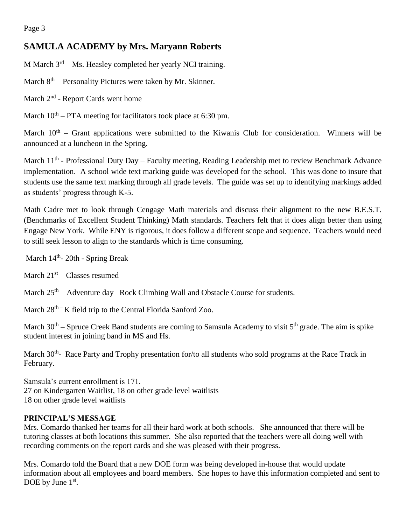# **SAMULA ACADEMY by Mrs. Maryann Roberts**

M March 3<sup>rd</sup> – Ms. Heasley completed her yearly NCI training.

March 8<sup>th</sup> – Personality Pictures were taken by Mr. Skinner.

March 2<sup>nd</sup> - Report Cards went home

March  $10^{th}$  – PTA meeting for facilitators took place at 6:30 pm.

March  $10<sup>th</sup>$  – Grant applications were submitted to the Kiwanis Club for consideration. Winners will be announced at a luncheon in the Spring.

March 11<sup>th</sup> - Professional Duty Day – Faculty meeting, Reading Leadership met to review Benchmark Advance implementation. A school wide text marking guide was developed for the school. This was done to insure that students use the same text marking through all grade levels. The guide was set up to identifying markings added as students' progress through K-5.

Math Cadre met to look through Cengage Math materials and discuss their alignment to the new B.E.S.T. (Benchmarks of Excellent Student Thinking) Math standards. Teachers felt that it does align better than using Engage New York. While ENY is rigorous, it does follow a different scope and sequence. Teachers would need to still seek lesson to align to the standards which is time consuming.

March 14<sup>th</sup>- 20th - Spring Break

March  $21<sup>st</sup> - Classes$  resumed

March  $25<sup>th</sup>$  – Adventure day –Rock Climbing Wall and Obstacle Course for students.

March  $28<sup>th</sup> - K$  field trip to the Central Florida Sanford Zoo.

March 30<sup>th</sup> – Spruce Creek Band students are coming to Samsula Academy to visit 5<sup>th</sup> grade. The aim is spike student interest in joining band in MS and Hs.

March 30<sup>th</sup>- Race Party and Trophy presentation for/to all students who sold programs at the Race Track in February.

Samsula's current enrollment is 171. 27 on Kindergarten Waitlist, 18 on other grade level waitlists 18 on other grade level waitlists

## **PRINCIPAL'S MESSAGE**

Mrs. Comardo thanked her teams for all their hard work at both schools. She announced that there will be tutoring classes at both locations this summer. She also reported that the teachers were all doing well with recording comments on the report cards and she was pleased with their progress.

Mrs. Comardo told the Board that a new DOE form was being developed in-house that would update information about all employees and board members. She hopes to have this information completed and sent to DOE by June  $1<sup>st</sup>$ .